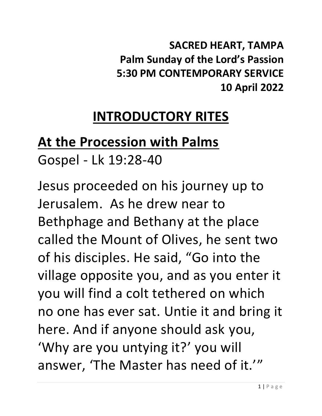**SACRED HEART, TAMPA Palm Sunday of the Lord's Passion 5:30 PM CONTEMPORARY SERVICE 10 April 2022**

### **INTRODUCTORY RITES**

#### **At the Procession with Palms**

Gospel - Lk 19:28-40

Jesus proceeded on his journey up to Jerusalem. As he drew near to Bethphage and Bethany at the place called the Mount of Olives, he sent two of his disciples. He said, "Go into the village opposite you, and as you enter it you will find a colt tethered on which no one has ever sat. Untie it and bring it here. And if anyone should ask you, 'Why are you untying it?' you will answer, 'The Master has need of it.'"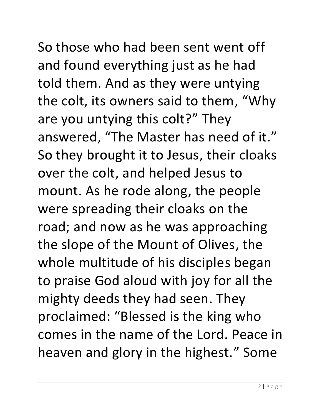So those who had been sent went off and found everything just as he had told them. And as they were untying the colt, its owners said to them, "Why are you untying this colt?" They answered, "The Master has need of it." So they brought it to Jesus, their cloaks over the colt, and helped Jesus to mount. As he rode along, the people were spreading their cloaks on the road; and now as he was approaching the slope of the Mount of Olives, the whole multitude of his disciples began to praise God aloud with joy for all the mighty deeds they had seen. They proclaimed: "Blessed is the king who comes in the name of the Lord. Peace in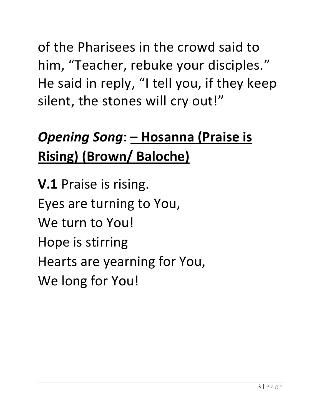of the Pharisees in the crowd said to him, "Teacher, rebuke your disciples." He said in reply, "I tell you, if they keep silent, the stones will cry out!"

## *Opening Song*: **– Hosanna (Praise is Rising) (Brown/ Baloche)**

**V.1** Praise is rising. Eyes are turning to You, We turn to You! Hope is stirring Hearts are yearning for You, We long for You!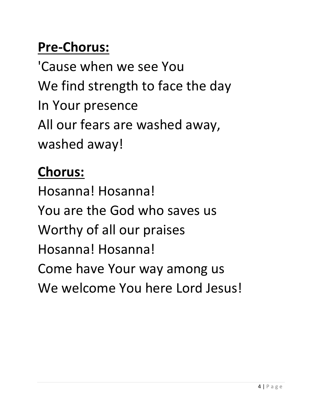## **Pre-Chorus:**

'Cause when we see You We find strength to face the day In Your presence All our fears are washed away, washed away!

## **Chorus:**

Hosanna! Hosanna! You are the God who saves us Worthy of all our praises Hosanna! Hosanna! Come have Your way among us We welcome You here Lord Jesus!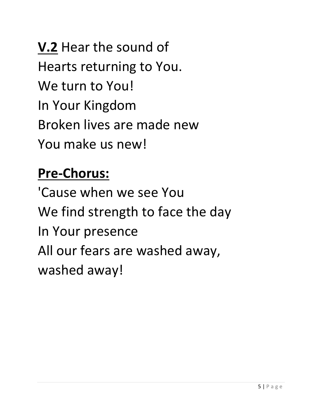**V.2** Hear the sound of Hearts returning to You. We turn to You! In Your Kingdom Broken lives are made new You make us new!

## **Pre-Chorus:**

'Cause when we see You We find strength to face the day In Your presence All our fears are washed away, washed away!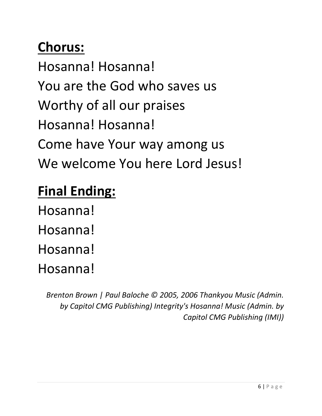## **Chorus:**

Hosanna! Hosanna! You are the God who saves us Worthy of all our praises Hosanna! Hosanna! Come have Your way among us We welcome You here Lord Jesus!

## **Final Ending:**

Hosanna! Hosanna! Hosanna! Hosanna!

> *Brenton Brown | Paul Baloche © 2005, 2006 Thankyou Music (Admin. by Capitol CMG Publishing) Integrity's Hosanna! Music (Admin. by Capitol CMG Publishing (IMI))*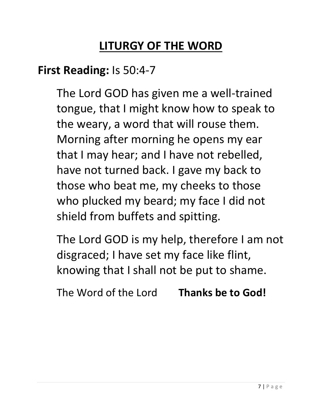#### **LITURGY OF THE WORD**

#### **First Reading:** Is 50:4-7

The Lord GOD has given me a well-trained tongue, that I might know how to speak to the weary, a word that will rouse them. Morning after morning he opens my ear that I may hear; and I have not rebelled, have not turned back. I gave my back to those who beat me, my cheeks to those who plucked my beard; my face I did not shield from buffets and spitting.

The Lord GOD is my help, therefore I am not disgraced; I have set my face like flint, knowing that I shall not be put to shame.

The Word of the Lord **Thanks be to God!**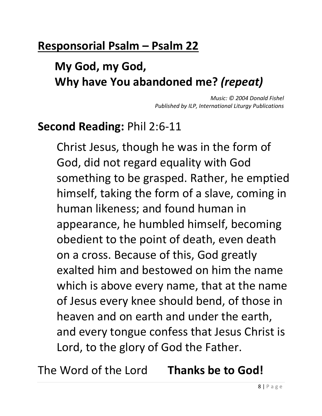#### **Responsorial Psalm – Psalm 22**

#### **My God, my God, Why have You abandoned me?** *(repeat)*

*Music: © 2004 Donald Fishel Published by ILP, International Liturgy Publications*

#### **Second Reading:** Phil 2:6-11

Christ Jesus, though he was in the form of God, did not regard equality with God something to be grasped. Rather, he emptied himself, taking the form of a slave, coming in human likeness; and found human in appearance, he humbled himself, becoming obedient to the point of death, even death on a cross. Because of this, God greatly exalted him and bestowed on him the name which is above every name, that at the name of Jesus every knee should bend, of those in heaven and on earth and under the earth, and every tongue confess that Jesus Christ is Lord, to the glory of God the Father.

The Word of the Lord **Thanks be to God!**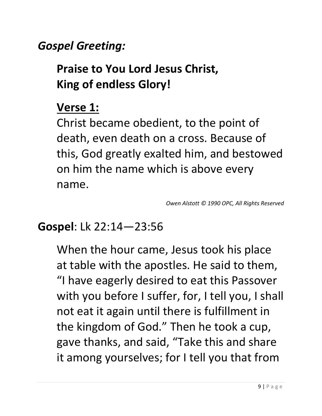#### *Gospel Greeting:*

#### **Praise to You Lord Jesus Christ, King of endless Glory!**

#### **Verse 1:**

Christ became obedient, to the point of death, even death on a cross. Because of this, God greatly exalted him, and bestowed on him the name which is above every name.

*Owen Alstott © 1990 OPC, All Rights Reserved*

#### **Gospel**: Lk 22:14—23:56

When the hour came, Jesus took his place at table with the apostles. He said to them, "I have eagerly desired to eat this Passover with you before I suffer, for, I tell you, I shall not eat it again until there is fulfillment in the kingdom of God." Then he took a cup, gave thanks, and said, "Take this and share it among yourselves; for I tell you that from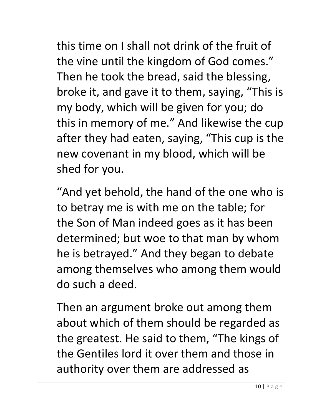this time on I shall not drink of the fruit of the vine until the kingdom of God comes." Then he took the bread, said the blessing, broke it, and gave it to them, saying, "This is my body, which will be given for you; do this in memory of me." And likewise the cup after they had eaten, saying, "This cup is the new covenant in my blood, which will be shed for you.

"And yet behold, the hand of the one who is to betray me is with me on the table; for the Son of Man indeed goes as it has been determined; but woe to that man by whom he is betrayed." And they began to debate among themselves who among them would do such a deed.

Then an argument broke out among them about which of them should be regarded as the greatest. He said to them, "The kings of the Gentiles lord it over them and those in authority over them are addressed as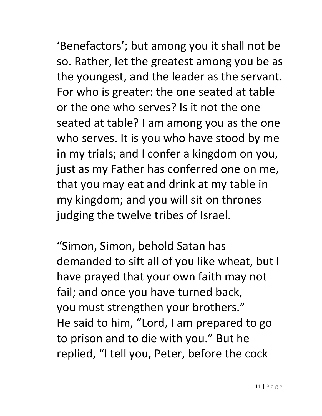'Benefactors'; but among you it shall not be so. Rather, let the greatest among you be as the youngest, and the leader as the servant. For who is greater: the one seated at table or the one who serves? Is it not the one seated at table? I am among you as the one who serves. It is you who have stood by me in my trials; and I confer a kingdom on you, just as my Father has conferred one on me, that you may eat and drink at my table in my kingdom; and you will sit on thrones judging the twelve tribes of Israel.

"Simon, Simon, behold Satan has demanded to sift all of you like wheat, but I have prayed that your own faith may not fail; and once you have turned back, you must strengthen your brothers." He said to him, "Lord, I am prepared to go to prison and to die with you." But he replied, "I tell you, Peter, before the cock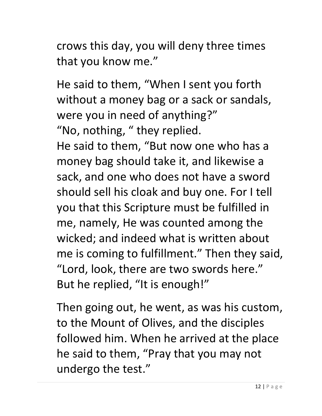crows this day, you will deny three times that you know me."

He said to them, "When I sent you forth without a money bag or a sack or sandals, were you in need of anything?"

"No, nothing, " they replied. He said to them, "But now one who has a money bag should take it, and likewise a sack, and one who does not have a sword should sell his cloak and buy one. For I tell you that this Scripture must be fulfilled in me, namely, He was counted among the wicked; and indeed what is written about me is coming to fulfillment." Then they said, "Lord, look, there are two swords here." But he replied, "It is enough!"

Then going out, he went, as was his custom, to the Mount of Olives, and the disciples followed him. When he arrived at the place he said to them, "Pray that you may not undergo the test."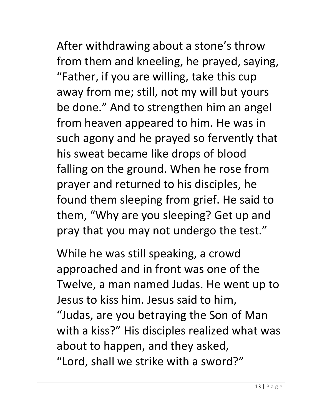After withdrawing about a stone's throw from them and kneeling, he prayed, saying, "Father, if you are willing, take this cup away from me; still, not my will but yours be done." And to strengthen him an angel from heaven appeared to him. He was in such agony and he prayed so fervently that his sweat became like drops of blood falling on the ground. When he rose from prayer and returned to his disciples, he found them sleeping from grief. He said to

them, "Why are you sleeping? Get up and pray that you may not undergo the test."

While he was still speaking, a crowd approached and in front was one of the Twelve, a man named Judas. He went up to Jesus to kiss him. Jesus said to him, "Judas, are you betraying the Son of Man with a kiss?" His disciples realized what was about to happen, and they asked, "Lord, shall we strike with a sword?"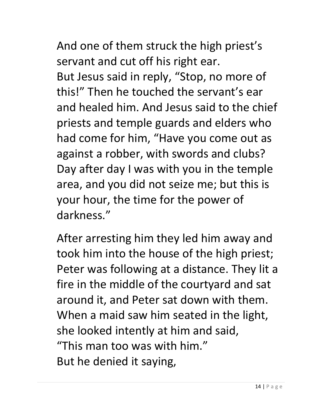And one of them struck the high priest's servant and cut off his right ear. But Jesus said in reply, "Stop, no more of this!" Then he touched the servant's ear and healed him. And Jesus said to the chief priests and temple guards and elders who had come for him, "Have you come out as against a robber, with swords and clubs? Day after day I was with you in the temple area, and you did not seize me; but this is your hour, the time for the power of darkness."

After arresting him they led him away and took him into the house of the high priest; Peter was following at a distance. They lit a fire in the middle of the courtyard and sat around it, and Peter sat down with them. When a maid saw him seated in the light, she looked intently at him and said, "This man too was with him." But he denied it saying,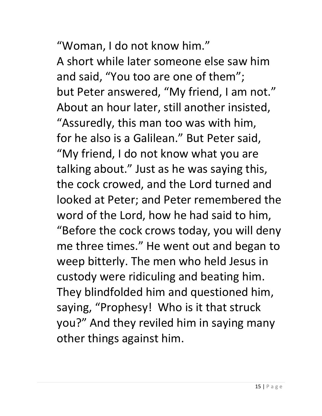"Woman, I do not know him."

A short while later someone else saw him and said, "You too are one of them"; but Peter answered, "My friend, I am not." About an hour later, still another insisted, "Assuredly, this man too was with him, for he also is a Galilean." But Peter said, "My friend, I do not know what you are talking about." Just as he was saying this, the cock crowed, and the Lord turned and looked at Peter; and Peter remembered the word of the Lord, how he had said to him, "Before the cock crows today, you will deny me three times." He went out and began to weep bitterly. The men who held Jesus in custody were ridiculing and beating him. They blindfolded him and questioned him, saying, "Prophesy! Who is it that struck you?" And they reviled him in saying many other things against him.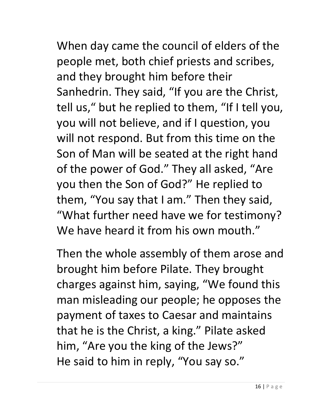## When day came the council of elders of the

people met, both chief priests and scribes, and they brought him before their Sanhedrin. They said, "If you are the Christ, tell us," but he replied to them, "If I tell you, you will not believe, and if I question, you will not respond. But from this time on the Son of Man will be seated at the right hand of the power of God." They all asked, "Are you then the Son of God?" He replied to them, "You say that I am." Then they said, "What further need have we for testimony? We have heard it from his own mouth."

Then the whole assembly of them arose and brought him before Pilate. They brought charges against him, saying, "We found this man misleading our people; he opposes the payment of taxes to Caesar and maintains that he is the Christ, a king." Pilate asked him, "Are you the king of the Jews?" He said to him in reply, "You say so."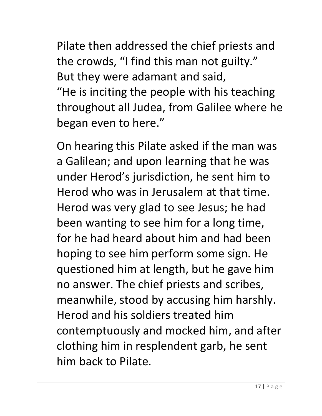Pilate then addressed the chief priests and the crowds, "I find this man not guilty." But they were adamant and said, "He is inciting the people with his teaching throughout all Judea, from Galilee where he began even to here."

On hearing this Pilate asked if the man was a Galilean; and upon learning that he was under Herod's jurisdiction, he sent him to Herod who was in Jerusalem at that time. Herod was very glad to see Jesus; he had been wanting to see him for a long time, for he had heard about him and had been hoping to see him perform some sign. He questioned him at length, but he gave him no answer. The chief priests and scribes, meanwhile, stood by accusing him harshly. Herod and his soldiers treated him contemptuously and mocked him, and after clothing him in resplendent garb, he sent him back to Pilate.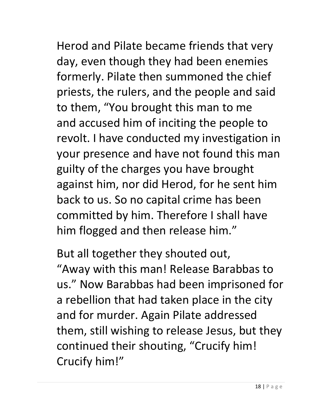Herod and Pilate became friends that very day, even though they had been enemies formerly. Pilate then summoned the chief priests, the rulers, and the people and said to them, "You brought this man to me and accused him of inciting the people to revolt. I have conducted my investigation in

your presence and have not found this man guilty of the charges you have brought against him, nor did Herod, for he sent him back to us. So no capital crime has been committed by him. Therefore I shall have him flogged and then release him."

But all together they shouted out, "Away with this man! Release Barabbas to us." Now Barabbas had been imprisoned for a rebellion that had taken place in the city and for murder. Again Pilate addressed them, still wishing to release Jesus, but they continued their shouting, "Crucify him! Crucify him!"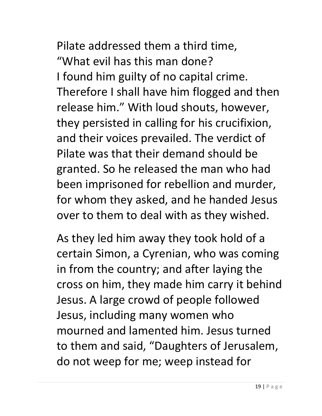Pilate addressed them a third time, "What evil has this man done? I found him guilty of no capital crime. Therefore I shall have him flogged and then release him." With loud shouts, however, they persisted in calling for his crucifixion, and their voices prevailed. The verdict of Pilate was that their demand should be granted. So he released the man who had been imprisoned for rebellion and murder, for whom they asked, and he handed Jesus over to them to deal with as they wished.

As they led him away they took hold of a certain Simon, a Cyrenian, who was coming in from the country; and after laying the cross on him, they made him carry it behind Jesus. A large crowd of people followed Jesus, including many women who mourned and lamented him. Jesus turned to them and said, "Daughters of Jerusalem, do not weep for me; weep instead for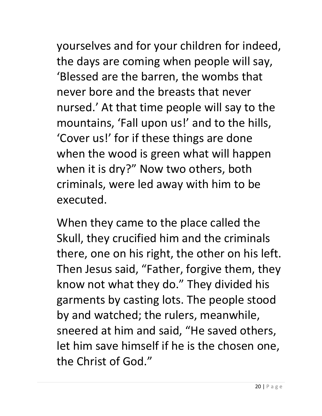yourselves and for your children for indeed, the days are coming when people will say, 'Blessed are the barren, the wombs that never bore and the breasts that never nursed.' At that time people will say to the mountains, 'Fall upon us!' and to the hills, 'Cover us!' for if these things are done when the wood is green what will happen

when it is dry?" Now two others, both criminals, were led away with him to be executed.

When they came to the place called the Skull, they crucified him and the criminals there, one on his right, the other on his left. Then Jesus said, "Father, forgive them, they know not what they do." They divided his garments by casting lots. The people stood by and watched; the rulers, meanwhile, sneered at him and said, "He saved others, let him save himself if he is the chosen one, the Christ of God."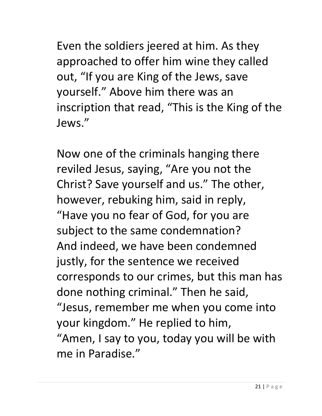Even the soldiers jeered at him. As they approached to offer him wine they called out, "If you are King of the Jews, save yourself." Above him there was an inscription that read, "This is the King of the Jews."

Now one of the criminals hanging there reviled Jesus, saying, "Are you not the Christ? Save yourself and us." The other, however, rebuking him, said in reply, "Have you no fear of God, for you are subject to the same condemnation? And indeed, we have been condemned justly, for the sentence we received corresponds to our crimes, but this man has done nothing criminal." Then he said, "Jesus, remember me when you come into your kingdom." He replied to him, "Amen, I say to you, today you will be with me in Paradise."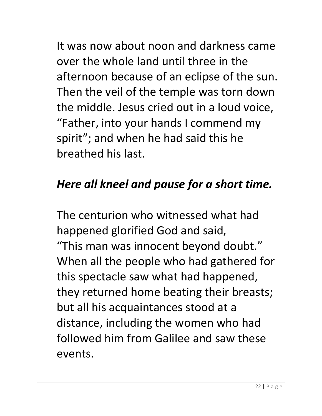It was now about noon and darkness came over the whole land until three in the afternoon because of an eclipse of the sun. Then the veil of the temple was torn down the middle. Jesus cried out in a loud voice, "Father, into your hands I commend my spirit"; and when he had said this he breathed his last.

#### *Here all kneel and pause for a short time.*

The centurion who witnessed what had happened glorified God and said, "This man was innocent beyond doubt." When all the people who had gathered for this spectacle saw what had happened, they returned home beating their breasts; but all his acquaintances stood at a distance, including the women who had followed him from Galilee and saw these events.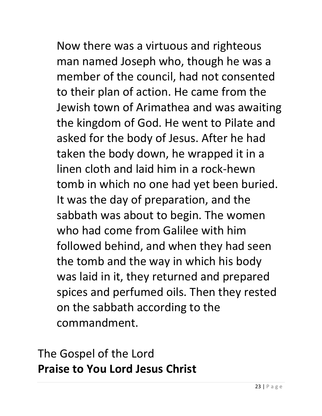# Now there was a virtuous and righteous

man named Joseph who, though he was a member of the council, had not consented to their plan of action. He came from the Jewish town of Arimathea and was awaiting the kingdom of God. He went to Pilate and asked for the body of Jesus. After he had taken the body down, he wrapped it in a linen cloth and laid him in a rock-hewn tomb in which no one had yet been buried. It was the day of preparation, and the sabbath was about to begin. The women who had come from Galilee with him followed behind, and when they had seen the tomb and the way in which his body was laid in it, they returned and prepared spices and perfumed oils. Then they rested on the sabbath according to the commandment.

#### The Gospel of the Lord **Praise to You Lord Jesus Christ**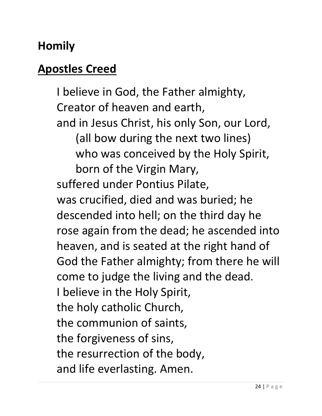#### **Homily**

#### **Apostles Creed**

I believe in God, the Father almighty, Creator of heaven and earth, and in Jesus Christ, his only Son, our Lord, (all bow during the next two lines) who was conceived by the Holy Spirit, born of the Virgin Mary, suffered under Pontius Pilate, was crucified, died and was buried; he descended into hell; on the third day he rose again from the dead; he ascended into heaven, and is seated at the right hand of God the Father almighty; from there he will come to judge the living and the dead. I believe in the Holy Spirit, the holy catholic Church, the communion of saints, the forgiveness of sins, the resurrection of the body, and life everlasting. Amen.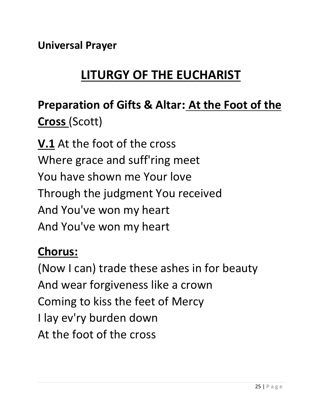#### **Universal Prayer**

#### **LITURGY OF THE EUCHARIST**

### **Preparation of Gifts & Altar: At the Foot of the Cross** (Scott)

**V.1** At the foot of the cross Where grace and suff'ring meet You have shown me Your love Through the judgment You received And You've won my heart And You've won my heart

#### **Chorus:**

(Now I can) trade these ashes in for beauty And wear forgiveness like a crown Coming to kiss the feet of Mercy I lay ev'ry burden down At the foot of the cross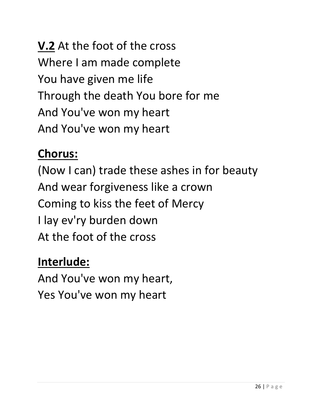**V.2** At the foot of the cross Where I am made complete You have given me life Through the death You bore for me And You've won my heart And You've won my heart

#### **Chorus:**

(Now I can) trade these ashes in for beauty And wear forgiveness like a crown Coming to kiss the feet of Mercy I lay ev'ry burden down At the foot of the cross

#### **Interlude:**

And You've won my heart, Yes You've won my heart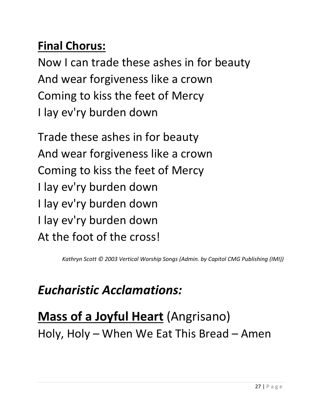#### **Final Chorus:**

Now I can trade these ashes in for beauty And wear forgiveness like a crown Coming to kiss the feet of Mercy I lay ev'ry burden down

Trade these ashes in for beauty And wear forgiveness like a crown Coming to kiss the feet of Mercy I lay ev'ry burden down I lay ev'ry burden down I lay ev'ry burden down At the foot of the cross!

*Kathryn Scott © 2003 Vertical Worship Songs (Admin. by Capitol CMG Publishing (IMI))*

## *Eucharistic Acclamations:*

## **Mass of a Joyful Heart** (Angrisano)

Holy, Holy – When We Eat This Bread – Amen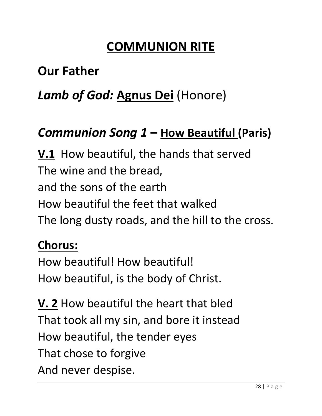## **COMMUNION RITE**

#### **Our Father**

## *Lamb of God:* **Agnus Dei** (Honore)

#### *Communion Song 1* **– How Beautiful (Paris)**

**V.1**How beautiful, the hands that served The wine and the bread, and the sons of the earth How beautiful the feet that walked The long dusty roads, and the hill to the cross.

#### **Chorus:**

How beautiful! How beautiful! How beautiful, is the body of Christ.

**V. 2** How beautiful the heart that bled That took all my sin, and bore it instead How beautiful, the tender eyes That chose to forgive And never despise.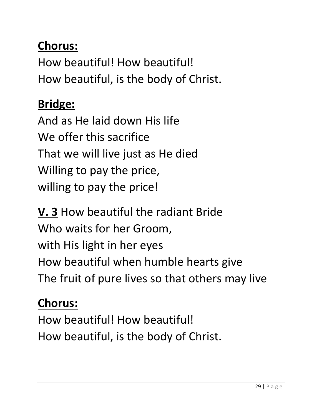#### **Chorus:**

How beautiful! How beautiful! How beautiful, is the body of Christ.

#### **Bridge:**

And as He laid down His life We offer this sacrifice That we will live just as He died Willing to pay the price, willing to pay the price!

**V. 3** How beautiful the radiant Bride Who waits for her Groom, with His light in her eyes How beautiful when humble hearts give The fruit of pure lives so that others may live

#### **Chorus:**

How beautiful! How beautiful! How beautiful, is the body of Christ.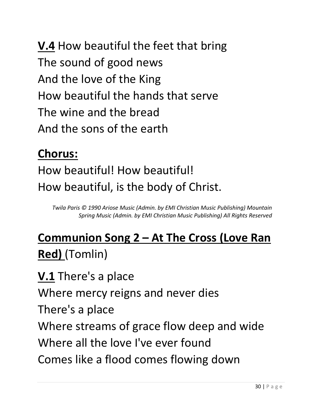**V.4** How beautiful the feet that bring The sound of good news And the love of the King How beautiful the hands that serve The wine and the bread And the sons of the earth

#### **Chorus:**

How beautiful! How beautiful! How beautiful, is the body of Christ.

*Twila Paris © 1990 Ariose Music (Admin. by EMI Christian Music Publishing) Mountain Spring Music (Admin. by EMI Christian Music Publishing) All Rights Reserved*

## **Communion Song 2 – At The Cross (Love Ran Red)** (Tomlin)

**V.1** There's a place

Where mercy reigns and never dies

There's a place

Where streams of grace flow deep and wide

Where all the love I've ever found

Comes like a flood comes flowing down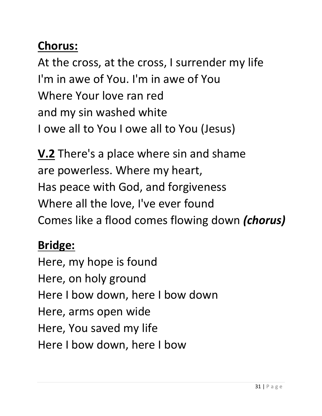#### **Chorus:**

At the cross, at the cross, I surrender my life I'm in awe of You. I'm in awe of You Where Your love ran red and my sin washed white I owe all to You I owe all to You (Jesus)

**V.2** There's a place where sin and shame are powerless. Where my heart, Has peace with God, and forgiveness Where all the love, I've ever found Comes like a flood comes flowing down *(chorus)*

#### **Bridge:**

Here, my hope is found Here, on holy ground Here I bow down, here I bow down Here, arms open wide Here, You saved my life Here I bow down, here I bow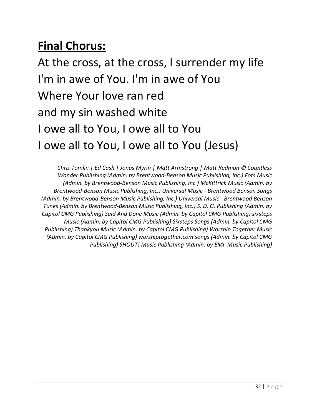#### **Final Chorus:**

At the cross, at the cross, I surrender my life I'm in awe of You. I'm in awe of You Where Your love ran red and my sin washed white I owe all to You, I owe all to You I owe all to You, I owe all to You (Jesus)

*Chris Tomlin | Ed Cash | Jonas Myrin | Matt Armstrong | Matt Redman © Countless Wonder Publishing (Admin. by Brentwood-Benson Music Publishing, Inc.) Fots Music (Admin. by Brentwood-Benson Music Publishing, Inc.) McKittrick Music (Admin. by Brentwood-Benson Music Publishing, Inc.) Universal Music - Brentwood Benson Songs (Admin. by Brentwood-Benson Music Publishing, Inc.) Universal Music - Brentwood Benson Tunes (Admin. by Brentwood-Benson Music Publishing, Inc.) S. D. G. Publishing (Admin. by Capitol CMG Publishing) Said And Done Music (Admin. by Capitol CMG Publishing) sixsteps Music (Admin. by Capitol CMG Publishing) Sixsteps Songs (Admin. by Capitol CMG Publishing) Thankyou Music (Admin. by Capitol CMG Publishing) Worship Together Music (Admin. by Capitol CMG Publishing) worshiptogether.com songs (Admin. by Capitol CMG Publishing) SHOUT! Music Publishing (Admin. by EMI Music Publishing)*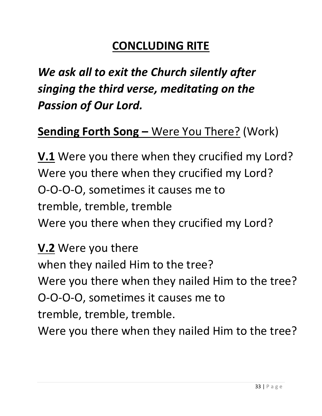#### **CONCLUDING RITE**

*We ask all to exit the Church silently after singing the third verse, meditating on the Passion of Our Lord.*

#### **Sending Forth Song –** Were You There? (Work)

**V.1** Were you there when they crucified my Lord? Were you there when they crucified my Lord? O-O-O-O, sometimes it causes me to tremble, tremble, tremble Were you there when they crucified my Lord?

#### **V.2** Were you there

when they nailed Him to the tree? Were you there when they nailed Him to the tree? O-O-O-O, sometimes it causes me to tremble, tremble, tremble.

Were you there when they nailed Him to the tree?